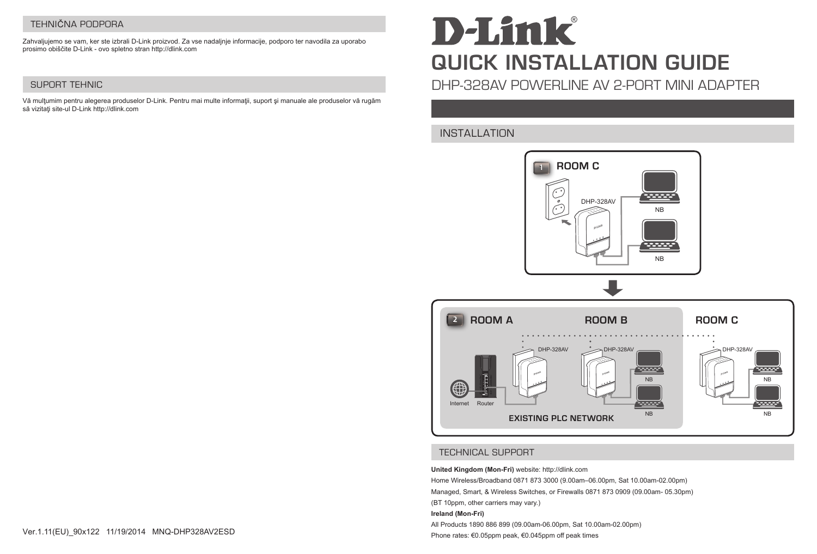# TEHNIČNA PODPORA

Zahvaljujemo se vam, ker ste izbrali D-Link proizvod. Za vse nadaljnje informacije, podporo ter navodila za uporabo prosimo obiščite D-Link - ovo spletno stran http://dlink.com

# SUPORT TEHNIC

Vă mulţumim pentru alegerea produselor D-Link. Pentru mai multe informaţii, suport şi manuale ale produselor vă rugăm să vizitați site-ul D-Link http://dlink.com

# **D-Link QUICK INSTALLATION GUIDE**

DHP-328AV POWERLINE AV 2-PORT MINI ADAPTER

# INSTALLATION





# TECHNICAL SUPPORT

**United Kingdom (Mon-Fri)** website: http://dlink.com

Home Wireless/Broadband 0871 873 3000 (9.00am–06.00pm, Sat 10.00am-02.00pm) Managed, Smart, & Wireless Switches, or Firewalls 0871 873 0909 (09.00am- 05.30pm) (BT 10ppm, other carriers may vary.)

#### **Ireland (Mon-Fri)**

All Products 1890 886 899 (09.00am-06.00pm, Sat 10.00am-02.00pm) Phone rates: €0.05ppm peak, €0.045ppm off peak times